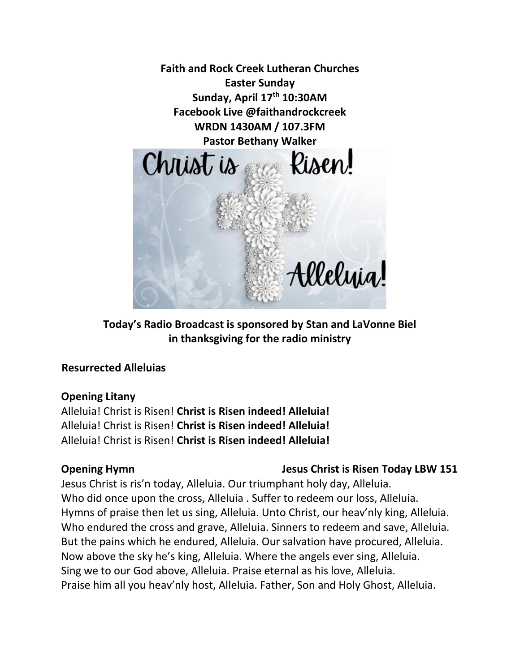

**Today's Radio Broadcast is sponsored by Stan and LaVonne Biel in thanksgiving for the radio ministry**

### **Resurrected Alleluias**

### **Opening Litany**

Alleluia! Christ is Risen! **Christ is Risen indeed! Alleluia!** Alleluia! Christ is Risen! **Christ is Risen indeed! Alleluia!** Alleluia! Christ is Risen! **Christ is Risen indeed! Alleluia!**

## **Opening Hymn** Jesus Christ is Risen Today LBW 151

Jesus Christ is ris'n today, Alleluia. Our triumphant holy day, Alleluia. Who did once upon the cross, Alleluia . Suffer to redeem our loss, Alleluia. Hymns of praise then let us sing, Alleluia. Unto Christ, our heav'nly king, Alleluia. Who endured the cross and grave, Alleluia. Sinners to redeem and save, Alleluia. But the pains which he endured, Alleluia. Our salvation have procured, Alleluia. Now above the sky he's king, Alleluia. Where the angels ever sing, Alleluia. Sing we to our God above, Alleluia. Praise eternal as his love, Alleluia. Praise him all you heav'nly host, Alleluia. Father, Son and Holy Ghost, Alleluia.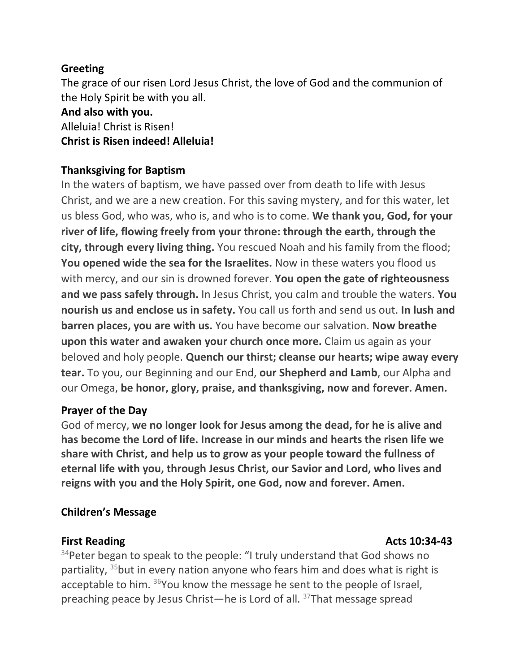#### **Greeting**

The grace of our risen Lord Jesus Christ, the love of God and the communion of the Holy Spirit be with you all.

# **And also with you.**

Alleluia! Christ is Risen! **Christ is Risen indeed! Alleluia!**

### **Thanksgiving for Baptism**

In the waters of baptism, we have passed over from death to life with Jesus Christ, and we are a new creation. For this saving mystery, and for this water, let us bless God, who was, who is, and who is to come. **We thank you, God, for your river of life, flowing freely from your throne: through the earth, through the city, through every living thing.** You rescued Noah and his family from the flood; **You opened wide the sea for the Israelites.** Now in these waters you flood us with mercy, and our sin is drowned forever. **You open the gate of righteousness and we pass safely through.** In Jesus Christ, you calm and trouble the waters. **You nourish us and enclose us in safety.** You call us forth and send us out. **In lush and barren places, you are with us.** You have become our salvation. **Now breathe upon this water and awaken your church once more.** Claim us again as your beloved and holy people. **Quench our thirst; cleanse our hearts; wipe away every tear.** To you, our Beginning and our End, **our Shepherd and Lamb**, our Alpha and our Omega, **be honor, glory, praise, and thanksgiving, now and forever. Amen.**

#### **Prayer of the Day**

God of mercy, **we no longer look for Jesus among the dead, for he is alive and has become the Lord of life. Increase in our minds and hearts the risen life we share with Christ, and help us to grow as your people toward the fullness of eternal life with you, through Jesus Christ, our Savior and Lord, who lives and reigns with you and the Holy Spirit, one God, now and forever. Amen.**

### **Children's Message**

### **First Reading Acts 10:34-43 Acts** 10:34-43

<sup>34</sup>Peter began to speak to the people: "I truly understand that God shows no partiality,  $35$  but in every nation anyone who fears him and does what is right is acceptable to him. <sup>36</sup>You know the message he sent to the people of Israel, preaching peace by Jesus Christ—he is Lord of all. 37That message spread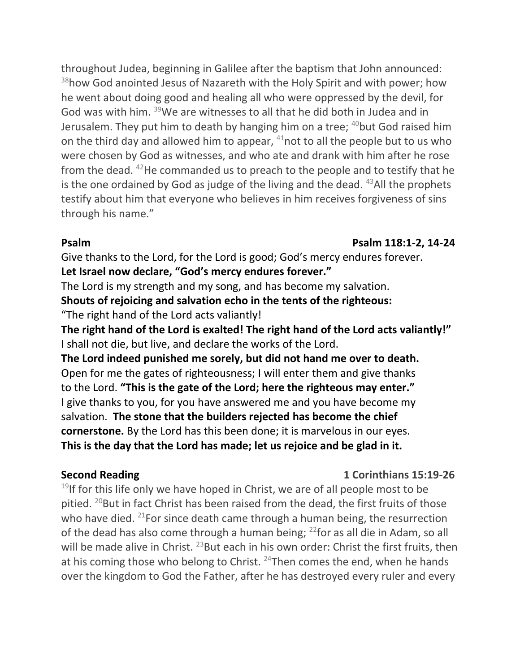throughout Judea, beginning in Galilee after the baptism that John announced: <sup>38</sup>how God anointed Jesus of Nazareth with the Holy Spirit and with power; how he went about doing good and healing all who were oppressed by the devil, for God was with him. <sup>39</sup>We are witnesses to all that he did both in Judea and in Jerusalem. They put him to death by hanging him on a tree;  $40$  but God raised him on the third day and allowed him to appear,  $41$  not to all the people but to us who were chosen by God as witnesses, and who ate and drank with him after he rose from the dead.  $42$ He commanded us to preach to the people and to testify that he is the one ordained by God as judge of the living and the dead.  $43$ All the prophets testify about him that everyone who believes in him receives forgiveness of sins through his name."

#### **Psalm Psalm 118:1-2, 14-24**

Give thanks to the Lord, for the Lord is good; God's mercy endures forever. **Let Israel now declare, "God's mercy endures forever."**

The Lord is my strength and my song, and has become my salvation.

**Shouts of rejoicing and salvation echo in the tents of the righteous:**

"The right hand of the Lord acts valiantly!

**The right hand of the Lord is exalted! The right hand of the Lord acts valiantly!"** I shall not die, but live, and declare the works of the Lord.

**The Lord indeed punished me sorely, but did not hand me over to death.** Open for me the gates of righteousness; I will enter them and give thanks to the Lord. **"This is the gate of the Lord; here the righteous may enter."** I give thanks to you, for you have answered me and you have become my salvation. **The stone that the builders rejected has become the chief cornerstone.** By the Lord has this been done; it is marvelous in our eyes. **This is the day that the Lord has made; let us rejoice and be glad in it.** 

### **Second Reading 12 Corinthians 15:19-26**

<sup>19</sup>If for this life only we have hoped in Christ, we are of all people most to be pitied. <sup>20</sup>But in fact Christ has been raised from the dead, the first fruits of those who have died. <sup>21</sup>For since death came through a human being, the resurrection of the dead has also come through a human being; <sup>22</sup>for as all die in Adam, so all will be made alive in Christ. <sup>23</sup>But each in his own order: Christ the first fruits, then at his coming those who belong to Christ.  $24$ Then comes the end, when he hands over the kingdom to God the Father, after he has destroyed every ruler and every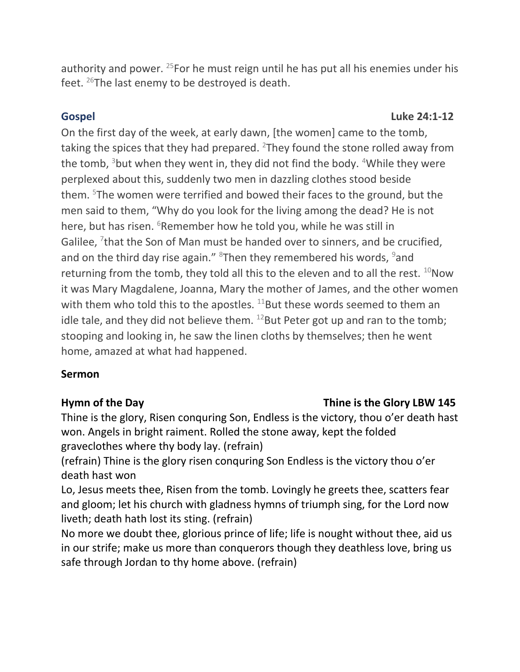authority and power. <sup>25</sup>For he must reign until he has put all his enemies under his feet. <sup>26</sup>The last enemy to be destroyed is death.

#### **Gospel** Luke 24:1-12

On the first day of the week, at early dawn, [the women] came to the tomb, taking the spices that they had prepared.  $2$ They found the stone rolled away from the tomb,  $3$  but when they went in, they did not find the body.  $4$ While they were perplexed about this, suddenly two men in dazzling clothes stood beside them. <sup>5</sup>The women were terrified and bowed their faces to the ground, but the men said to them, "Why do you look for the living among the dead? He is not here, but has risen. <sup>6</sup>Remember how he told you, while he was still in Galilee,  $7$ that the Son of Man must be handed over to sinners, and be crucified, and on the third day rise again."  $8$ Then they remembered his words,  $9$ and returning from the tomb, they told all this to the eleven and to all the rest.  $^{10}$ Now it was Mary Magdalene, Joanna, Mary the mother of James, and the other women with them who told this to the apostles.  $^{11}$ But these words seemed to them an idle tale, and they did not believe them.  $^{12}$ But Peter got up and ran to the tomb; stooping and looking in, he saw the linen cloths by themselves; then he went home, amazed at what had happened.

### **Sermon**

#### **Hymn of the Day Thine is the Glory LBW 145**

Thine is the glory, Risen conquring Son, Endless is the victory, thou o'er death hast won. Angels in bright raiment. Rolled the stone away, kept the folded graveclothes where thy body lay. (refrain)

(refrain) Thine is the glory risen conquring Son Endless is the victory thou o'er death hast won

Lo, Jesus meets thee, Risen from the tomb. Lovingly he greets thee, scatters fear and gloom; let his church with gladness hymns of triumph sing, for the Lord now liveth; death hath lost its sting. (refrain)

No more we doubt thee, glorious prince of life; life is nought without thee, aid us in our strife; make us more than conquerors though they deathless love, bring us safe through Jordan to thy home above. (refrain)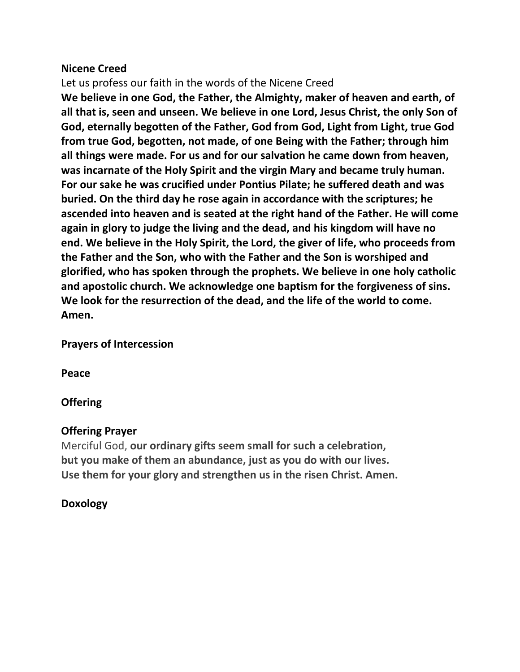#### **Nicene Creed**

Let us profess our faith in the words of the Nicene Creed

**We believe in one God, the Father, the Almighty, maker of heaven and earth, of all that is, seen and unseen. We believe in one Lord, Jesus Christ, the only Son of God, eternally begotten of the Father, God from God, Light from Light, true God from true God, begotten, not made, of one Being with the Father; through him all things were made. For us and for our salvation he came down from heaven, was incarnate of the Holy Spirit and the virgin Mary and became truly human. For our sake he was crucified under Pontius Pilate; he suffered death and was buried. On the third day he rose again in accordance with the scriptures; he ascended into heaven and is seated at the right hand of the Father. He will come again in glory to judge the living and the dead, and his kingdom will have no end. We believe in the Holy Spirit, the Lord, the giver of life, who proceeds from the Father and the Son, who with the Father and the Son is worshiped and glorified, who has spoken through the prophets. We believe in one holy catholic and apostolic church. We acknowledge one baptism for the forgiveness of sins. We look for the resurrection of the dead, and the life of the world to come. Amen.**

**Prayers of Intercession** 

**Peace**

### **Offering**

#### **Offering Prayer**

Merciful God, **our ordinary gifts seem small for such a celebration, but you make of them an abundance, just as you do with our lives. Use them for your glory and strengthen us in the risen Christ. Amen.**

### **Doxology**